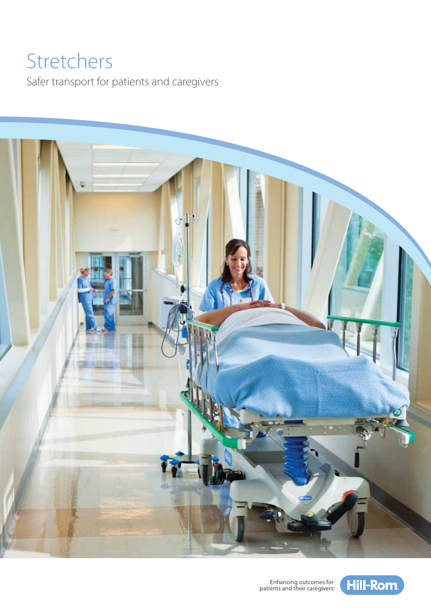# Stretchers

Safer transport for patients and caregivers



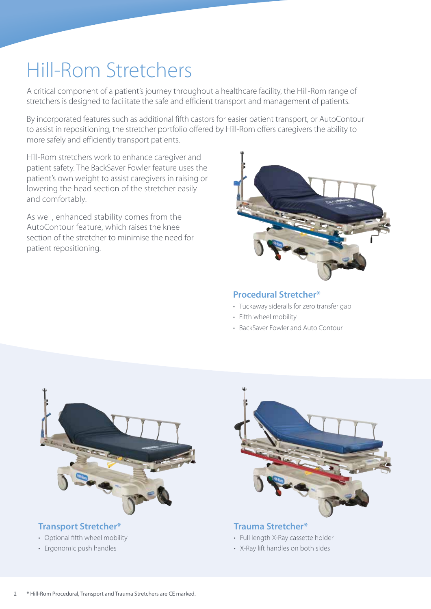# Hill-Rom Stretchers

A critical component of a patient's journey throughout a healthcare facility, the Hill-Rom range of stretchers is designed to facilitate the safe and efficient transport and management of patients.

By incorporated features such as additional fifth castors for easier patient transport, or AutoContour to assist in repositioning, the stretcher portfolio offered by Hill-Rom offers caregivers the ability to more safely and efficiently transport patients.

Hill-Rom stretchers work to enhance caregiver and patient safety. The BackSaver Fowler feature uses the patient's own weight to assist caregivers in raising or lowering the head section of the stretcher easily and comfortably.

As well, enhanced stability comes from the AutoContour feature, which raises the knee section of the stretcher to minimise the need for patient repositioning.



#### **Procedural Stretcher\***

- Tuckaway siderails for zero transfer gap
- Fifth wheel mobility
- BackSaver Fowler and Auto Contour



#### **Transport Stretcher\***

- Optional fifth wheel mobility
- Ergonomic push handles



- Full length X-Ray cassette holder
- X-Ray lift handles on both sides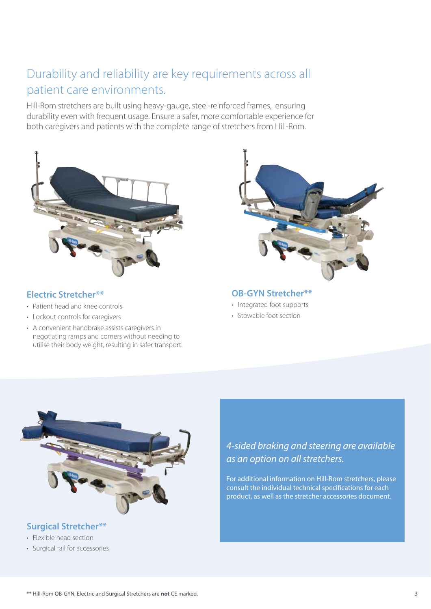### Durability and reliability are key requirements across all patient care environments.

Hill-Rom stretchers are built using heavy-gauge, steel-reinforced frames, ensuring durability even with frequent usage. Ensure a safer, more comfortable experience for both caregivers and patients with the complete range of stretchers from Hill-Rom.



#### **Electric Stretcher\*\***

- Patient head and knee controls
- Lockout controls for caregivers
- A convenient handbrake assists caregivers in negotiating ramps and corners without needing to utilise their body weight, resulting in safer transport.



#### **OB-GYN Stretcher\*\***

- Integrated foot supports
- Stowable foot section



#### **Surgical Stretcher\*\***

- Flexible head section
- Surgical rail for accessories

*4-sided braking and steering are available as an option on all stretchers.*

For additional information on Hill-Rom stretchers, please consult the individual technical specifications for each product, as well as the stretcher accessories document.